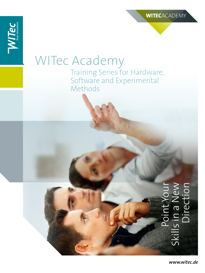### WITec Academy Training Series for Hardware, Software and Experimental

Methods

# Point Your<br>Skills in a New Point Your Skills in a New Direction

*www.witec.de*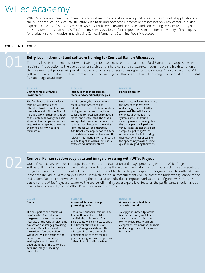### WITec Academy

WITec Academy is a training program that covers all instrument and software operations as well as potential applications of the WITec product line. A course structure with basic and advanced elements addresses not only newcomers but also experienced users of WITec microscope systems. With seminars and extensive hands-on training sessions featuring our latest hardware and software, WITec Academy serves as a forum for comprehensive instruction in a variety of techniques for productive and innovative research using Confocal Raman and Scanning Probe Microscopy.

### **Course NO. Course**

### **Entry level instrument and software training for Confocal Raman Microscopy**

The entry level instrument and software training is for users new to the alpha300 confocal Raman microscope series who require an introduction to the operational principles of the hardware and software components. A detailed description of the measurement process will provide the basis for a hands-on session using WITec test samples. An overview of the WITec software environment will feature prominently in the training as a thorough software knowledge is essential for successful Raman image acquisition.

| <b>BLOCK I</b><br><b>Components &amp; Software</b><br><b>Environment</b>                                                                                                                                                                                                                                                                     | <b>BLOCK II</b><br>Introduction to measurement<br>modes and operational principles                                                                                                                                                                                                                                                                                                                                                                                                                                                                         | <b>BLOCK III</b><br>Hands-on session                                                                                                                                                                                                                                                                                                                                                                                                                                    |
|----------------------------------------------------------------------------------------------------------------------------------------------------------------------------------------------------------------------------------------------------------------------------------------------------------------------------------------------|------------------------------------------------------------------------------------------------------------------------------------------------------------------------------------------------------------------------------------------------------------------------------------------------------------------------------------------------------------------------------------------------------------------------------------------------------------------------------------------------------------------------------------------------------------|-------------------------------------------------------------------------------------------------------------------------------------------------------------------------------------------------------------------------------------------------------------------------------------------------------------------------------------------------------------------------------------------------------------------------------------------------------------------------|
| The first block of the entry level<br>training will introduce the<br>attendees to all relevant parts of<br>the system and software. This will<br>include a working demonstration<br>of the system, showing the basic<br>alignment and steps necessary to<br>acquire Raman spectra as well as<br>the principles of white light<br>microscopy. | In this session, the measurement<br>modes of the system will be<br>introduced. These include acquisition<br>of single spectra, line scans, time<br>series and confocal Raman images in<br>planar and depth scans. The spatial<br>and spectral correlation between the<br>various data objects and the white<br>light images will be illustrated.<br>Additionally, the application of filters<br>to the data sets in order to extract the<br>relevant information from the spectra<br>will be taught as well as some basic<br>software evaluation features. | Participants will learn to operate<br>the system by themselves<br>under the guidance of WITec<br>personnel. This will include<br>complete alignment of the<br>system as well as trouble-<br>shooting issues. Following this,<br>the participants will perform<br>various measurement tasks on<br>samples supplied by WITec.<br>Attendees are invited to bring<br>their own .wip files as well for<br>the opportunity to ask specific<br>questions regarding their work. |

## 02

### **Confocal Raman spectroscopy data and image processing with WITec Project**

Our software course will cover all aspects of spectral data evaluation and image processing with the WITec Project software. The participants will learn in detail how to process the acquired raw data in order to obtain the most presentable images and graphs for successful publication. Topics relevant to the participant's specific background will be outlined in an "Advanced Individual Data Analysis Tutorial" in which individual measurements will be processed under the guidance of the instructors. Each attendee will work during the course at an individual computer workstation configured with the latest version of the WITec Project software. As the course will mainly cover expert-level features, the participants should have at least a basic knowledge of the WITec Project software environment.

| <b>BLOCK I</b><br><b>Basics</b>                                                                                                                                                                                                                                                                                                                                                                                          | <b>BLOCK II</b><br>Advanced data and image<br>processing modes                                                                                                                                                                                                                                                                                                                | <b>BLOCK III</b><br>Advanced individual data<br>analysis tutorial                                                                                                                                                            |
|--------------------------------------------------------------------------------------------------------------------------------------------------------------------------------------------------------------------------------------------------------------------------------------------------------------------------------------------------------------------------------------------------------------------------|-------------------------------------------------------------------------------------------------------------------------------------------------------------------------------------------------------------------------------------------------------------------------------------------------------------------------------------------------------------------------------|------------------------------------------------------------------------------------------------------------------------------------------------------------------------------------------------------------------------------|
| The first part of the course will<br>provide a brief introduction to<br>the general concept and user<br>interface of the WITec Project data<br>evaluation and image processing<br>software. Basic features of<br>the various "Tool and Action<br>Windows" will be described and<br>demonstrated sequentially,<br>leading to a fundamental<br>understanding of the software's<br>data and image processing<br>principles. | The various analytical features and<br>filter options will be explained in<br>detail during this session. The<br>participants will learn how to apply<br>the different filters and "Drop<br>Actions" to a given data set. This<br>will result in a more thorough<br>understanding of the filter and<br>processing algorithms that produce<br>different graph and image files. | To apply the knowledge of the<br>first two sessions, participants<br>are encouraged to bring their<br>own .wip data sets for a more<br>comprehensive individual analysis<br>under the guidance of the course<br>instructors. |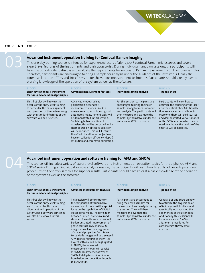### **Course Course NO.**

### **Advanced instrument operation training for Confocal Raman Imaging**

This one-day training course is intended for experienced users of alpha300 R confocal Raman microscopes and covers expert level features of the instruments and their accessories. During individual hands-on sessions, the participants will have the opportunity to discuss and evaluate the requirements for successful Raman measurements on their own samples. Therefore, participants are encouraged to bring a sample for analysis under the guidance of the instructors. Finally the course will include a "Tips and Tricks" session for the various measurement techniques. Participants should already have a working knowledge of the operation of the system as well as the software.

**WITec**ACADEMY

| <b>BLOCK I</b><br>Short review of basic instrument<br>features and operational principles                                                                                                                               | <b>BLOCK II</b><br><b>Advanced measurement features</b>                                                                                                                                                                                                                                                                                                                                                                                                                  | <b>BLOCK III</b><br>Individual sample analysis                                                                                                                                                                                                  | <b>BLOCK IV</b><br><b>Tips and tricks</b>                                                                                                                                                                                                                                                                                     |
|-------------------------------------------------------------------------------------------------------------------------------------------------------------------------------------------------------------------------|--------------------------------------------------------------------------------------------------------------------------------------------------------------------------------------------------------------------------------------------------------------------------------------------------------------------------------------------------------------------------------------------------------------------------------------------------------------------------|-------------------------------------------------------------------------------------------------------------------------------------------------------------------------------------------------------------------------------------------------|-------------------------------------------------------------------------------------------------------------------------------------------------------------------------------------------------------------------------------------------------------------------------------------------------------------------------------|
| This first block will review the<br>details of the entry level training.<br>In particular, the basic alignment<br>and operation of the system along<br>with the standard features of the<br>software will be discussed. | Advanced modes such as<br>polarization-dependent<br>measurement modes, EMCCD<br>measurements, auto focusing and<br>automated measurement tasks will<br>be demonstrated in this session.<br>Switching between different<br>wavelengths will be described and a<br>short course on objective selection<br>will be included. This will illustrate<br>the effect that different objectives<br>have on collection efficiency, (depth)<br>resolution and chromatic aberration. | For this session, participants are<br>encouraged to bring their own<br>samples along for measurement<br>and analysis. The participants will<br>then measure and evaluate the<br>samples by themselves under the<br>guidance of WITec personnel. | Participants will learn how to<br>optimize the coupling of the laser<br>into the optical fiber. Additionally,<br>fluorescence issues and how to<br>overcome them will be discussed<br>and demonstrated. Various modes<br>of the CCD cameras, which can be<br>used to enhance the quality of the<br>spectra, will be explored. |

## 04

### **Advanced instrument operation and software training for AFM and SNOM**

This course will include a variety of expert-level software and instrumentation operation topics for the alpha300 AFM and SNOM series. During an individual sample analysis session, the participants will learn how to apply advanced operational procedures to their own samples for superior results. Participants should have at least a basic knowledge of the operation of the system as well as the software.

| <b>BLOCK I</b>                                                                                                                                                                                                              | <b>BLOCK II</b>                                                                                                                                                                                                                                                                                                                                                                                                                                                                                                                                                                                                                                                                                                          | <b>BLOCK III</b>                                                                                                                                                                                                                | <b>BLOCK IV</b>                                                                                                                                                                                                                                                                                           |
|-----------------------------------------------------------------------------------------------------------------------------------------------------------------------------------------------------------------------------|--------------------------------------------------------------------------------------------------------------------------------------------------------------------------------------------------------------------------------------------------------------------------------------------------------------------------------------------------------------------------------------------------------------------------------------------------------------------------------------------------------------------------------------------------------------------------------------------------------------------------------------------------------------------------------------------------------------------------|---------------------------------------------------------------------------------------------------------------------------------------------------------------------------------------------------------------------------------|-----------------------------------------------------------------------------------------------------------------------------------------------------------------------------------------------------------------------------------------------------------------------------------------------------------|
| Short review of basic instrument<br>features and operational principles                                                                                                                                                     | <b>Advanced measurement features</b>                                                                                                                                                                                                                                                                                                                                                                                                                                                                                                                                                                                                                                                                                     | Individual sample analysis                                                                                                                                                                                                      | Tips and tricks                                                                                                                                                                                                                                                                                           |
| This first block will review the<br>details of the entry level training<br>and in particular, the basic<br>alignment and operation of the<br>system. Basic software principles<br>will also be reviewed in this<br>session. | This session will concentrate on<br>the comparison of various AFM<br>measurement modes with a special<br>focus on the capabilities of Digital<br>Pulsed Force Mode. The correlation<br>between Pulsed Force curves and<br>standard force-distance curves will<br>be demonstrated. Improvement of<br>phase contrast in AC mode AFM<br>images as well as the assignment<br>of material properties from Pulsed<br>Force Mode images will be discussed.<br>AFM-related features of the WITec<br>Project software will be highlighted.<br>In SNOM, the advanced<br>measurement modes will consist<br>of SNOM Fluorescence as well as<br>SNOM Pick-Up Mode (illumination<br>from below and detection through<br>the SNOM tip). | Participants are encouraged to<br>bring their own samples for<br>measurement and analysis during<br>this session. They will then<br>measure and evaluate the<br>samples by themselves under the<br>guidance of WITec personnel. | General tips and tricks on how<br>to optimize the acquisition of<br>AFM images will be discussed,<br>specifically incorporating the<br>experiences of the attendees.<br>Additionally, this session will<br>include advanced SNOM<br>alignment procedures for<br>cantilevers with very small<br>apertures. |